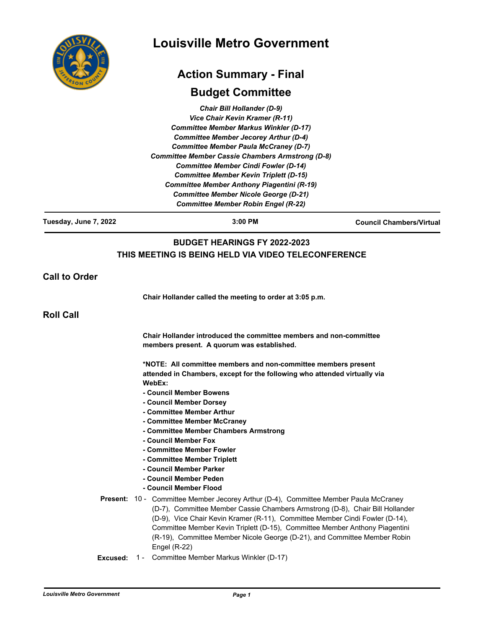| COUT<br>RSOI |
|--------------|
|              |

# **Louisville Metro Government**

# **Action Summary - Final**

## **Budget Committee**

*Chair Bill Hollander (D-9) Vice Chair Kevin Kramer (R-11) Committee Member Markus Winkler (D-17) Committee Member Jecorey Arthur (D-4) Committee Member Paula McCraney (D-7) Committee Member Cassie Chambers Armstrong (D-8) Committee Member Cindi Fowler (D-14) Committee Member Kevin Triplett (D-15) Committee Member Anthony Piagentini (R-19) Committee Member Nicole George (D-21) Committee Member Robin Engel (R-22)*

**Tuesday, June 7, 2022 3:00 PM Council Chambers/Virtual**

## **BUDGET HEARINGS FY 2022-2023 THIS MEETING IS BEING HELD VIA VIDEO TELECONFERENCE**

**Call to Order**

**Chair Hollander called the meeting to order at 3:05 p.m.**

**Roll Call**

**Chair Hollander introduced the committee members and non-committee members present. A quorum was established.**

**\*NOTE: All committee members and non-committee members present attended in Chambers, except for the following who attended virtually via WebEx:**

- **Council Member Bowens**
- **Council Member Dorsey**
- **Committee Member Arthur**
- **Committee Member McCraney**
- **Committee Member Chambers Armstrong**
- **Council Member Fox**
- **Committee Member Fowler**
- **Committee Member Triplett**
- **Council Member Parker**
- **Council Member Peden**
- **Council Member Flood**
- Present: 10 Committee Member Jecorey Arthur (D-4), Committee Member Paula McCraney (D-7), Committee Member Cassie Chambers Armstrong (D-8), Chair Bill Hollander (D-9), Vice Chair Kevin Kramer (R-11), Committee Member Cindi Fowler (D-14), Committee Member Kevin Triplett (D-15), Committee Member Anthony Piagentini (R-19), Committee Member Nicole George (D-21), and Committee Member Robin Engel (R-22)
- **Excused:** 1 Committee Member Markus Winkler (D-17)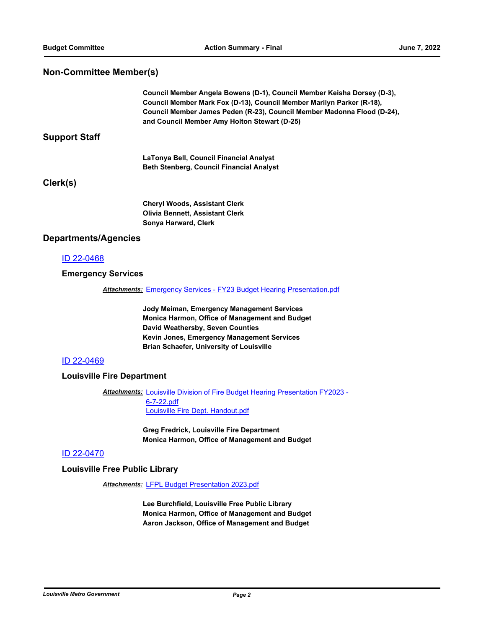#### **Non-Committee Member(s)**

**Council Member Angela Bowens (D-1), Council Member Keisha Dorsey (D-3), Council Member Mark Fox (D-13), Council Member Marilyn Parker (R-18), Council Member James Peden (R-23), Council Member Madonna Flood (D-24), and Council Member Amy Holton Stewart (D-25)**

#### **Support Staff**

**LaTonya Bell, Council Financial Analyst Beth Stenberg, Council Financial Analyst**

### **Clerk(s)**

**Cheryl Woods, Assistant Clerk Olivia Bennett, Assistant Clerk Sonya Harward, Clerk**

#### **Departments/Agencies**

#### [ID 22-0468](http://louisville.legistar.com/gateway.aspx?m=l&id=/matter.aspx?key=59976)

#### **Emergency Services**

*Attachments:* [Emergency Services - FY23 Budget Hearing Presentation.pdf](http://louisville.legistar.com/gateway.aspx?M=F&ID=72847ec0-3650-43e8-8337-97c501ced79f.pdf)

**Jody Meiman, Emergency Management Services Monica Harmon, Office of Management and Budget David Weathersby, Seven Counties Kevin Jones, Emergency Management Services Brian Schaefer, University of Louisville**

#### [ID 22-0469](http://louisville.legistar.com/gateway.aspx?m=l&id=/matter.aspx?key=59977)

#### **Louisville Fire Department**

**Attachments: Louisville Division of Fire Budget Hearing Presentation FY2023 -**6-7-22.pdf [Louisville Fire Dept. Handout.pdf](http://louisville.legistar.com/gateway.aspx?M=F&ID=48672ac1-9252-4a22-b4c2-f4d976fa9cae.pdf)

> **Greg Fredrick, Louisville Fire Department Monica Harmon, Office of Management and Budget**

#### [ID 22-0470](http://louisville.legistar.com/gateway.aspx?m=l&id=/matter.aspx?key=59978)

**Louisville Free Public Library**

*Attachments:* [LFPL Budget Presentation 2023.pdf](http://louisville.legistar.com/gateway.aspx?M=F&ID=9d894982-e161-41cf-8ae1-6b939ffec5ca.pdf)

**Lee Burchfield, Louisville Free Public Library Monica Harmon, Office of Management and Budget Aaron Jackson, Office of Management and Budget**